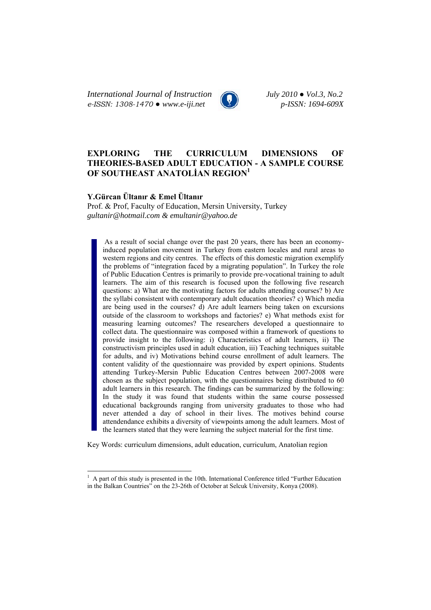*International Journal of Instruction July 2010 ● Vol.3, No.2 e-ISSN: 1308-1470 ● www.e-iji.net p-ISSN: 1694-609X*

# **EXPLORING THE CURRICULUM DIMENSIONS OF THEORIES-BASED ADULT EDUCATION - A SAMPLE COURSE OF SOUTHEAST ANATOLİAN REGION1**

## **Y.Gürcan Ültanır & Emel Ültanır**

 $\overline{a}$ 

Prof. & Prof, Faculty of Education, Mersin University, Turkey *gultanir@hotmail.com & emultanir@yahoo.de*

As a result of social change over the past 20 years, there has been an economyinduced population movement in Turkey from eastern locales and rural areas to western regions and city centres. The effects of this domestic migration exemplify the problems of "integration faced by a migrating population". In Turkey the role of Public Education Centres is primarily to provide pre-vocational training to adult learners. The aim of this research is focused upon the following five research questions: a) What are the motivating factors for adults attending courses? b) Are the syllabi consistent with contemporary adult education theories? c) Which media are being used in the courses? d) Are adult learners being taken on excursions outside of the classroom to workshops and factories? e) What methods exist for measuring learning outcomes? The researchers developed a questionnaire to collect data. The questionnaire was composed within a framework of questions to provide insight to the following: i) Characteristics of adult learners, ii) The constructivism principles used in adult education, iii) Teaching techniques suitable for adults, and iv) Motivations behind course enrollment of adult learners. The content validity of the questionnaire was provided by expert opinions. Students attending Turkey-Mersin Public Education Centres between 2007-2008 were chosen as the subject population, with the questionnaires being distributed to 60 adult learners in this research. The findings can be summarized by the following: In the study it was found that students within the same course possessed educational backgrounds ranging from university graduates to those who had never attended a day of school in their lives. The motives behind course attendendance exhibits a diversity of viewpoints among the adult learners. Most of the learners stated that they were learning the subject material for the first time.

Key Words: curriculum dimensions, adult education, curriculum, Anatolian region

<sup>&</sup>lt;sup>1</sup> A part of this study is presented in the 10th. International Conference titled "Further Education" in the Balkan Countries" on the 23-26th of October at Selcuk University, Konya (2008).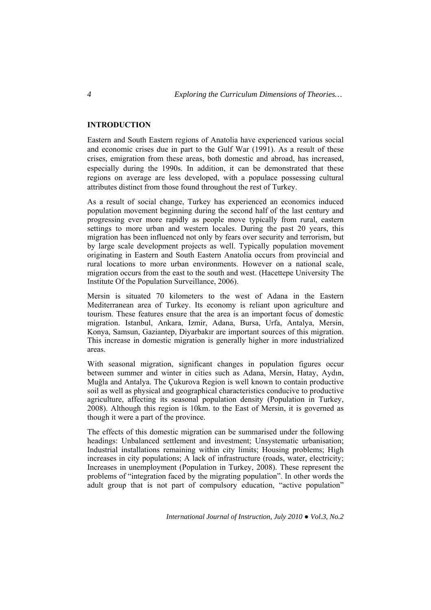## **INTRODUCTION**

Eastern and South Eastern regions of Anatolia have experienced various social and economic crises due in part to the Gulf War (1991). As a result of these crises, emigration from these areas, both domestic and abroad, has increased, especially during the 1990s. In addition, it can be demonstrated that these regions on average are less developed, with a populace possessing cultural attributes distinct from those found throughout the rest of Turkey.

As a result of social change, Turkey has experienced an economics induced population movement beginning during the second half of the last century and progressing ever more rapidly as people move typically from rural, eastern settings to more urban and western locales. During the past 20 years, this migration has been influenced not only by fears over security and terrorism, but by large scale development projects as well. Typically population movement originating in Eastern and South Eastern Anatolia occurs from provincial and rural locations to more urban environments. However on a national scale, migration occurs from the east to the south and west. (Hacettepe University The Institute Of the Population Surveillance, 2006).

Mersin is situated 70 kilometers to the west of Adana in the Eastern Mediterranean area of Turkey. Its economy is reliant upon agriculture and tourism. These features ensure that the area is an important focus of domestic migration. Istanbul, Ankara, Izmir, Adana, Bursa, Urfa, Antalya, Mersin, Konya, Samsun, Gaziantep, Diyarbakır are important sources of this migration. This increase in domestic migration is generally higher in more industrialized areas.

With seasonal migration, significant changes in population figures occur between summer and winter in cities such as Adana, Mersin, Hatay, Aydın, Muğla and Antalya. The Çukurova Region is well known to contain productive soil as well as physical and geographical characteristics conducive to productive agriculture, affecting its seasonal population density (Population in Turkey, 2008). Although this region is 10km. to the East of Mersin, it is governed as though it were a part of the province.

The effects of this domestic migration can be summarised under the following headings: Unbalanced settlement and investment; Unsystematic urbanisation; Industrial installations remaining within city limits; Housing problems; High increases in city populations; A lack of infrastructure (roads, water, electricity; Increases in unemployment (Population in Turkey, 2008). These represent the problems of "integration faced by the migrating population". In other words the adult group that is not part of compulsory education, "active population"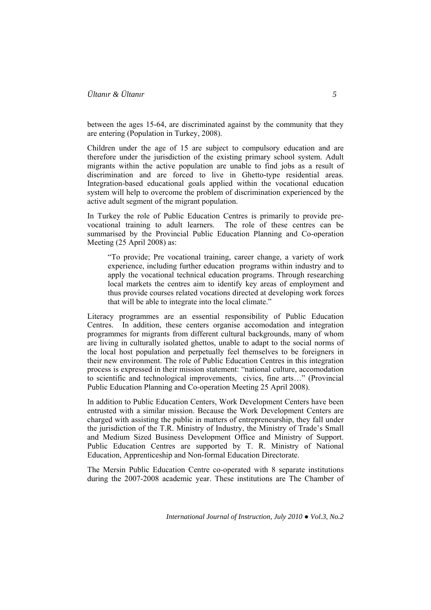between the ages 15-64, are discriminated against by the community that they are entering (Population in Turkey, 2008).

Children under the age of 15 are subject to compulsory education and are therefore under the jurisdiction of the existing primary school system. Adult migrants within the active population are unable to find jobs as a result of discrimination and are forced to live in Ghetto-type residential areas. Integration-based educational goals applied within the vocational education system will help to overcome the problem of discrimination experienced by the active adult segment of the migrant population.

In Turkey the role of Public Education Centres is primarily to provide prevocational training to adult learners. The role of these centres can be summarised by the Provincial Public Education Planning and Co-operation Meeting (25 April 2008) as:

"To provide; Pre vocational training, career change, a variety of work experience, including further education programs within industry and to apply the vocational technical education programs. Through researching local markets the centres aim to identify key areas of employment and thus provide courses related vocations directed at developing work forces that will be able to integrate into the local climate."

Literacy programmes are an essential responsibility of Public Education Centres. In addition, these centers organise accomodation and integration programmes for migrants from different cultural backgrounds, many of whom are living in culturally isolated ghettos, unable to adapt to the social norms of the local host population and perpetually feel themselves to be foreigners in their new environment. The role of Public Education Centres in this integration process is expressed in their mission statement: "national culture, accomodation to scientific and technological improvements, civics, fine arts…" (Provincial Public Education Planning and Co-operation Meeting 25 April 2008).

In addition to Public Education Centers, Work Development Centers have been entrusted with a similar mission. Because the Work Development Centers are charged with assisting the public in matters of entrepreneurship, they fall under the jurisdiction of the T.R. Ministry of Industry, the Ministry of Trade's Small and Medium Sized Business Development Office and Ministry of Support. Public Education Centres are supported by T. R. Ministry of National Education, Apprenticeship and Non-formal Education Directorate.

The Mersin Public Education Centre co-operated with 8 separate institutions during the 2007-2008 academic year. These institutions are The Chamber of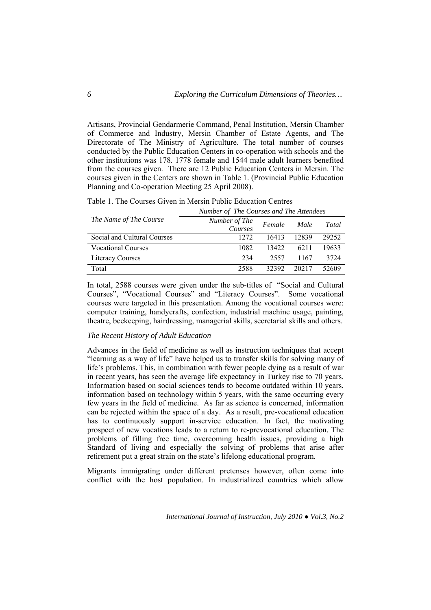Artisans, Provincial Gendarmerie Command, Penal Institution, Mersin Chamber of Commerce and Industry, Mersin Chamber of Estate Agents, and The Directorate of The Ministry of Agriculture. The total number of courses conducted by the Public Education Centers in co-operation with schools and the other institutions was 178. 1778 female and 1544 male adult learners benefited from the courses given. There are 12 Public Education Centers in Mersin. The courses given in the Centers are shown in Table 1. (Provincial Public Education Planning and Co-operation Meeting 25 April 2008).

| Table 1. The Courses Given in Mersin Public Education Centres |  |
|---------------------------------------------------------------|--|
|---------------------------------------------------------------|--|

|                             | Number of The Courses and The Attendees |        |       |       |  |
|-----------------------------|-----------------------------------------|--------|-------|-------|--|
| The Name of The Course      | Number of The<br>Courses                | Female | Male  | Total |  |
| Social and Cultural Courses | 1272                                    | 16413  | 12839 | 29252 |  |
| <b>Vocational Courses</b>   | 1082                                    | 13422  | 6211  | 19633 |  |
| <b>Literacy Courses</b>     | 234                                     | 2557   | 1167  | 3724  |  |
| Total                       | 2588                                    | 32392  | 20217 | 52609 |  |

In total, 2588 courses were given under the sub-titles of "Social and Cultural Courses", "Vocational Courses" and "Literacy Courses". Some vocational courses were targeted in this presentation. Among the vocational courses were: computer training, handycrafts, confection, industrial machine usage, painting, theatre, beekeeping, hairdressing, managerial skills, secretarial skills and others.

#### *The Recent History of Adult Education*

Advances in the field of medicine as well as instruction techniques that accept "learning as a way of life" have helped us to transfer skills for solving many of life's problems. This, in combination with fewer people dying as a result of war in recent years, has seen the average life expectancy in Turkey rise to 70 years. Information based on social sciences tends to become outdated within 10 years, information based on technology within 5 years, with the same occurring every few years in the field of medicine. As far as science is concerned, information can be rejected within the space of a day. As a result, pre-vocational education has to continuously support in-service education. In fact, the motivating prospect of new vocations leads to a return to re-prevocational education. The problems of filling free time, overcoming health issues, providing a high Standard of living and especially the solving of problems that arise after retirement put a great strain on the state's lifelong educational program.

Migrants immigrating under different pretenses however, often come into conflict with the host population. In industrialized countries which allow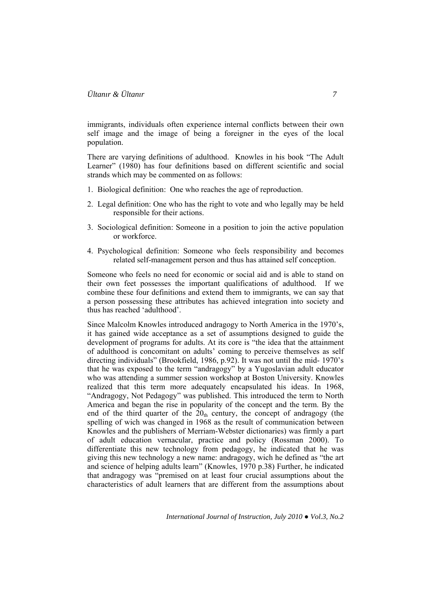immigrants, individuals often experience internal conflicts between their own self image and the image of being a foreigner in the eyes of the local population.

There are varying definitions of adulthood. Knowles in his book "The Adult Learner" (1980) has four definitions based on different scientific and social strands which may be commented on as follows:

- 1. Biological definition: One who reaches the age of reproduction.
- 2. Legal definition: One who has the right to vote and who legally may be held responsible for their actions.
- 3. Sociological definition: Someone in a position to join the active population or workforce.
- 4. Psychological definition: Someone who feels responsibility and becomes related self-management person and thus has attained self conception.

Someone who feels no need for economic or social aid and is able to stand on their own feet possesses the important qualifications of adulthood. If we combine these four definitions and extend them to immigrants, we can say that a person possessing these attributes has achieved integration into society and thus has reached 'adulthood'.

Since Malcolm Knowles introduced andragogy to North America in the 1970's, it has gained wide acceptance as a set of assumptions designed to guide the development of programs for adults. At its core is "the idea that the attainment of adulthood is concomitant on adults' coming to perceive themselves as self directing individuals" (Brookfield, 1986, p.92). It was not until the mid- 1970's that he was exposed to the term "andragogy" by a Yugoslavian adult educator who was attending a summer session workshop at Boston University. Knowles realized that this term more adequately encapsulated his ideas. In 1968, "Andragogy, Not Pedagogy" was published. This introduced the term to North America and began the rise in popularity of the concept and the term. By the end of the third quarter of the  $20<sub>th</sub>$  century, the concept of andragogy (the spelling of wich was changed in 1968 as the result of communication between Knowles and the publishers of Merriam-Webster dictionaries) was firmly a part of adult education vernacular, practice and policy (Rossman 2000). To differentiate this new technology from pedagogy, he indicated that he was giving this new technology a new name: andragogy, wich he defined as "the art and science of helping adults learn" (Knowles, 1970 p.38) Further, he indicated that andragogy was "premised on at least four crucial assumptions about the characteristics of adult learners that are different from the assumptions about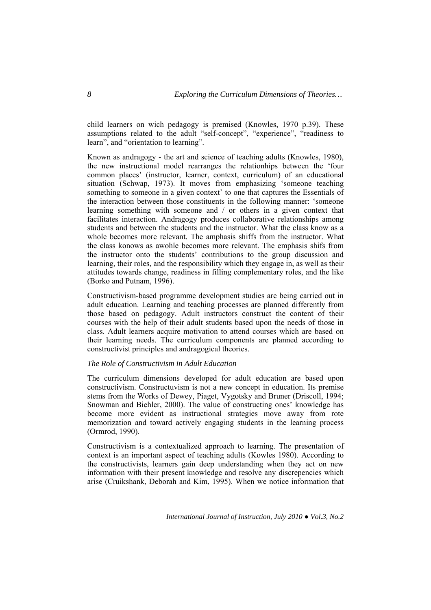child learners on wich pedagogy is premised (Knowles, 1970 p.39). These assumptions related to the adult "self-concept", "experience", "readiness to learn", and "orientation to learning".

Known as andragogy - the art and science of teaching adults (Knowles, 1980), the new instructional model rearranges the relationhips between the 'four common places' (instructor, learner, context, curriculum) of an educational situation (Schwap, 1973). It moves from emphasizing 'someone teaching something to someone in a given context' to one that captures the Essentials of the interaction between those constituents in the following manner: 'someone learning something with someone and / or others in a given context that facilitates interaction. Andragogy produces collaborative relationships among students and between the students and the instructor. What the class know as a whole becomes more relevant. The amphasis shiffs from the instructor. What the class konows as awohle becomes more relevant. The emphasis shifs from the instructor onto the students' contributions to the group discussion and learning, their roles, and the responsibility which they engage in, as well as their attitudes towards change, readiness in filling complementary roles, and the like (Borko and Putnam, 1996).

Constructivism-based programme development studies are being carried out in adult education. Learning and teaching processes are planned differently from those based on pedagogy. Adult instructors construct the content of their courses with the help of their adult students based upon the needs of those in class. Adult learners acquire motivation to attend courses which are based on their learning needs. The curriculum components are planned according to constructivist principles and andragogical theories.

### *The Role of Constructivism in Adult Education*

The curriculum dimensions developed for adult education are based upon constructivism. Constructuvism is not a new concept in education. Its premise stems from the Works of Dewey, Piaget, Vygotsky and Bruner (Driscoll, 1994; Snowman and Biehler, 2000). The value of constructing ones' knowledge has become more evident as instructional strategies move away from rote memorization and toward actively engaging students in the learning process (Ormrod, 1990).

Constructivism is a contextualized approach to learning. The presentation of context is an important aspect of teaching adults (Kowles 1980). According to the constructivists, learners gain deep understanding when they act on new information with their present knowledge and resolve any discrepencies which arise (Cruikshank, Deborah and Kim, 1995). When we notice information that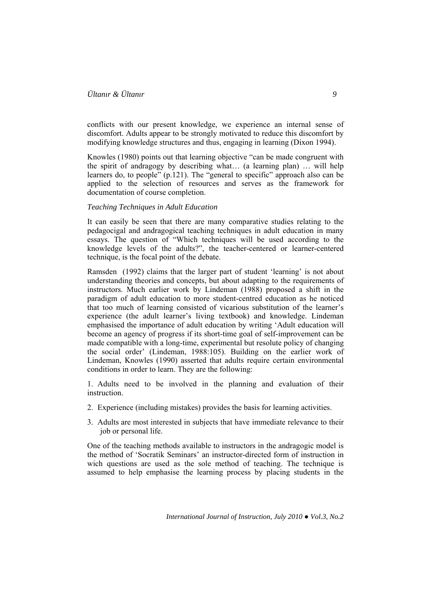conflicts with our present knowledge, we experience an internal sense of discomfort. Adults appear to be strongly motivated to reduce this discomfort by modifying knowledge structures and thus, engaging in learning (Dixon 1994).

Knowles (1980) points out that learning objective "can be made congruent with the spirit of andragogy by describing what… (a learning plan) … will help learners do, to people" (p.121). The "general to specific" approach also can be applied to the selection of resources and serves as the framework for documentation of course completion.

#### *Teaching Techniques in Adult Education*

It can easily be seen that there are many comparative studies relating to the pedagocigal and andragogical teaching techniques in adult education in many essays. The question of "Which techniques will be used according to the knowledge levels of the adults?", the teacher-centered or learner-centered technique, is the focal point of the debate.

Ramsden (1992) claims that the larger part of student 'learning' is not about understanding theories and concepts, but about adapting to the requirements of instructors. Much earlier work by Lindeman (1988) proposed a shift in the paradigm of adult education to more student-centred education as he noticed that too much of learning consisted of vicarious substitution of the learner's experience (the adult learner's living textbook) and knowledge. Lindeman emphasised the importance of adult education by writing 'Adult education will become an agency of progress if its short-time goal of self-improvement can be made compatible with a long-time, experimental but resolute policy of changing the social order' (Lindeman, 1988:105). Building on the earlier work of Lindeman, Knowles (1990) asserted that adults require certain environmental conditions in order to learn. They are the following:

1. Adults need to be involved in the planning and evaluation of their instruction.

- 2. Experience (including mistakes) provides the basis for learning activities.
- 3. Adults are most interested in subjects that have immediate relevance to their job or personal life.

One of the teaching methods available to instructors in the andragogic model is the method of 'Socratik Seminars' an instructor-directed form of instruction in wich questions are used as the sole method of teaching. The technique is assumed to help emphasise the learning process by placing students in the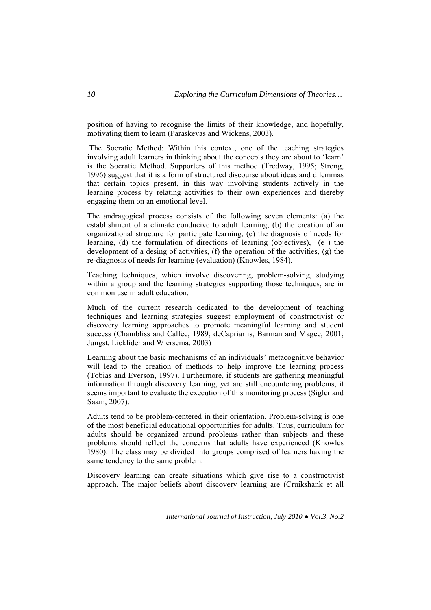position of having to recognise the limits of their knowledge, and hopefully, motivating them to learn (Paraskevas and Wickens, 2003).

 The Socratic Method: Within this context, one of the teaching strategies involving adult learners in thinking about the concepts they are about to 'learn' is the Socratic Method. Supporters of this method (Tredway, 1995; Strong, 1996) suggest that it is a form of structured discourse about ideas and dilemmas that certain topics present, in this way involving students actively in the learning process by relating activities to their own experiences and thereby engaging them on an emotional level.

The andragogical process consists of the following seven elements: (a) the establishment of a climate conducive to adult learning, (b) the creation of an organizational structure for participate learning, (c) the diagnosis of needs for learning, (d) the formulation of directions of learning (objectives), (e ) the development of a desing of activities, (f) the operation of the activities, (g) the re-diagnosis of needs for learning (evaluation) (Knowles, 1984).

Teaching techniques, which involve discovering, problem-solving, studying within a group and the learning strategies supporting those techniques, are in common use in adult education.

Much of the current research dedicated to the development of teaching techniques and learning strategies suggest employment of constructivist or discovery learning approaches to promote meaningful learning and student success (Chambliss and Calfee, 1989; deCapriariis, Barman and Magee, 2001; Jungst, Licklider and Wiersema, 2003)

Learning about the basic mechanisms of an individuals' metacognitive behavior will lead to the creation of methods to help improve the learning process (Tobias and Everson, 1997). Furthermore, if students are gathering meaningful information through discovery learning, yet are still encountering problems, it seems important to evaluate the execution of this monitoring process (Sigler and Saam, 2007).

Adults tend to be problem-centered in their orientation. Problem-solving is one of the most beneficial educational opportunities for adults. Thus, curriculum for adults should be organized around problems rather than subjects and these problems should reflect the concerns that adults have experienced (Knowles 1980). The class may be divided into groups comprised of learners having the same tendency to the same problem.

Discovery learning can create situations which give rise to a constructivist approach. The major beliefs about discovery learning are (Cruikshank et all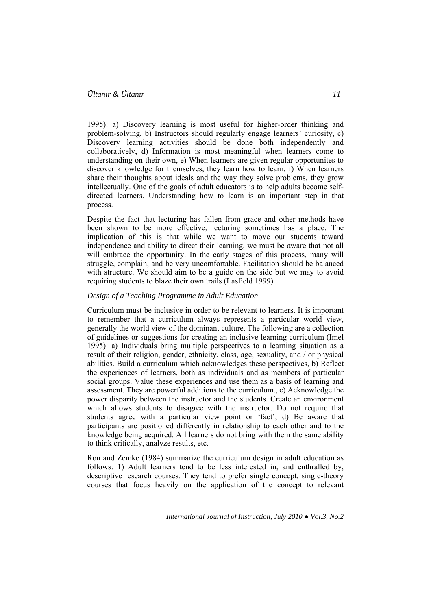1995): a) Discovery learning is most useful for higher-order thinking and problem-solving, b) Instructors should regularly engage learners' curiosity, c) Discovery learning activities should be done both independently and collaboratively, d) Information is most meaningful when learners come to understanding on their own, e) When learners are given regular opportunites to discover knowledge for themselves, they learn how to learn, f) When learners share their thoughts about ideals and the way they solve problems, they grow intellectually. One of the goals of adult educators is to help adults become selfdirected learners. Understanding how to learn is an important step in that process.

Despite the fact that lecturing has fallen from grace and other methods have been shown to be more effective, lecturing sometimes has a place. The implication of this is that while we want to move our students toward independence and ability to direct their learning, we must be aware that not all will embrace the opportunity. In the early stages of this process, many will struggle, complain, and be very uncomfortable. Facilitation should be balanced with structure. We should aim to be a guide on the side but we may to avoid requiring students to blaze their own trails (Lasfield 1999).

#### *Design of a Teaching Programme in Adult Education*

Curriculum must be inclusive in order to be relevant to learners. It is important to remember that a curriculum always represents a particular world view, generally the world view of the dominant culture. The following are a collection of guidelines or suggestions for creating an inclusive learning curriculum (Imel 1995): a) Individuals bring multiple perspectives to a learning situation as a result of their religion, gender, ethnicity, class, age, sexuality, and / or physical abilities. Build a curriculum which acknowledges these perspectives, b) Reflect the experiences of learners, both as individuals and as members of particular social groups. Value these experiences and use them as a basis of learning and assessment. They are powerful additions to the curriculum., c) Acknowledge the power disparity between the instructor and the students. Create an environment which allows students to disagree with the instructor. Do not require that students agree with a particular view point or 'fact', d) Be aware that participants are positioned differently in relationship to each other and to the knowledge being acquired. All learners do not bring with them the same ability to think critically, analyze results, etc.

Ron and Zemke (1984) summarize the curriculum design in adult education as follows: 1) Adult learners tend to be less interested in, and enthralled by, descriptive research courses. They tend to prefer single concept, single-theory courses that focus heavily on the application of the concept to relevant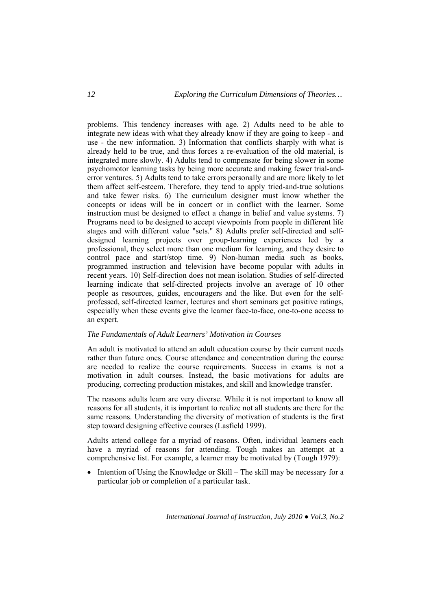problems. This tendency increases with age. 2) Adults need to be able to integrate new ideas with what they already know if they are going to keep - and use - the new information. 3) Information that conflicts sharply with what is already held to be true, and thus forces a re-evaluation of the old material, is integrated more slowly. 4) Adults tend to compensate for being slower in some psychomotor learning tasks by being more accurate and making fewer trial-anderror ventures. 5) Adults tend to take errors personally and are more likely to let them affect self-esteem. Therefore, they tend to apply tried-and-true solutions and take fewer risks. 6) The curriculum designer must know whether the concepts or ideas will be in concert or in conflict with the learner. Some instruction must be designed to effect a change in belief and value systems. 7) Programs need to be designed to accept viewpoints from people in different life stages and with different value "sets." 8) Adults prefer self-directed and selfdesigned learning projects over group-learning experiences led by a professional, they select more than one medium for learning, and they desire to control pace and start/stop time. 9) Non-human media such as books, programmed instruction and television have become popular with adults in recent years. 10) Self-direction does not mean isolation. Studies of self-directed learning indicate that self-directed projects involve an average of 10 other people as resources, guides, encouragers and the like. But even for the selfprofessed, self-directed learner, lectures and short seminars get positive ratings, especially when these events give the learner face-to-face, one-to-one access to an expert.

#### *The Fundamentals of Adult Learners' Motivation in Courses*

An adult is motivated to attend an adult education course by their current needs rather than future ones. Course attendance and concentration during the course are needed to realize the course requirements. Success in exams is not a motivation in adult courses. Instead, the basic motivations for adults are producing, correcting production mistakes, and skill and knowledge transfer.

The reasons adults learn are very diverse. While it is not important to know all reasons for all students, it is important to realize not all students are there for the same reasons. Understanding the diversity of motivation of students is the first step toward designing effective courses (Lasfield 1999).

Adults attend college for a myriad of reasons. Often, individual learners each have a myriad of reasons for attending. Tough makes an attempt at a comprehensive list. For example, a learner may be motivated by (Tough 1979):

• Intention of Using the Knowledge or Skill – The skill may be necessary for a particular job or completion of a particular task.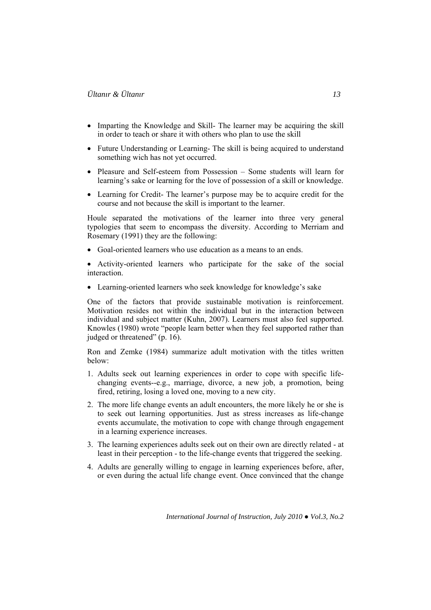- Imparting the Knowledge and Skill- The learner may be acquiring the skill in order to teach or share it with others who plan to use the skill
- Future Understanding or Learning-The skill is being acquired to understand something wich has not yet occurred.
- Pleasure and Self-esteem from Possession Some students will learn for learning's sake or learning for the love of possession of a skill or knowledge.
- Learning for Credit- The learner's purpose may be to acquire credit for the course and not because the skill is important to the learner.

Houle separated the motivations of the learner into three very general typologies that seem to encompass the diversity. According to Merriam and Rosemary (1991) they are the following:

• Goal-oriented learners who use education as a means to an ends.

• Activity-oriented learners who participate for the sake of the social interaction.

• Learning-oriented learners who seek knowledge for knowledge's sake

One of the factors that provide sustainable motivation is reinforcement. Motivation resides not within the individual but in the interaction between individual and subject matter (Kuhn, 2007). Learners must also feel supported. Knowles (1980) wrote "people learn better when they feel supported rather than judged or threatened" (p. 16).

Ron and Zemke (1984) summarize adult motivation with the titles written below:

- 1. Adults seek out learning experiences in order to cope with specific lifechanging events--e.g., marriage, divorce, a new job, a promotion, being fired, retiring, losing a loved one, moving to a new city.
- 2. The more life change events an adult encounters, the more likely he or she is to seek out learning opportunities. Just as stress increases as life-change events accumulate, the motivation to cope with change through engagement in a learning experience increases.
- 3. The learning experiences adults seek out on their own are directly related at least in their perception - to the life-change events that triggered the seeking.
- 4. Adults are generally willing to engage in learning experiences before, after, or even during the actual life change event. Once convinced that the change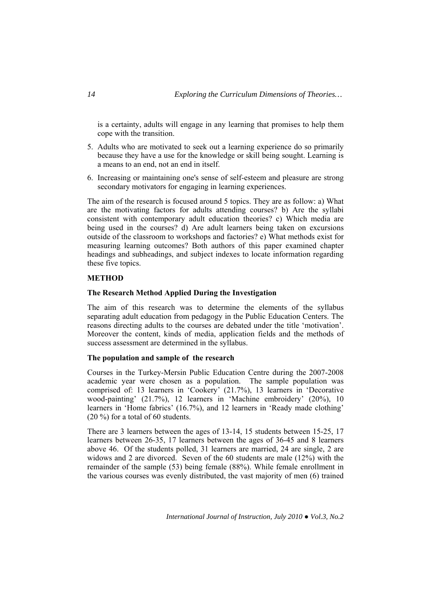is a certainty, adults will engage in any learning that promises to help them cope with the transition.

- 5. Adults who are motivated to seek out a learning experience do so primarily because they have a use for the knowledge or skill being sought. Learning is a means to an end, not an end in itself.
- 6. Increasing or maintaining one's sense of self-esteem and pleasure are strong secondary motivators for engaging in learning experiences.

The aim of the research is focused around 5 topics. They are as follow: a) What are the motivating factors for adults attending courses? b) Are the syllabi consistent with contemporary adult education theories? c) Which media are being used in the courses? d) Are adult learners being taken on excursions outside of the classroom to workshops and factories? e) What methods exist for measuring learning outcomes? Both authors of this paper examined chapter headings and subheadings, and subject indexes to locate information regarding these five topics.

### **METHOD**

#### **The Research Method Applied During the Investigation**

The aim of this research was to determine the elements of the syllabus separating adult education from pedagogy in the Public Education Centers. The reasons directing adults to the courses are debated under the title 'motivation'. Moreover the content, kinds of media, application fields and the methods of success assessment are determined in the syllabus.

### **The population and sample of the research**

Courses in the Turkey-Mersin Public Education Centre during the 2007-2008 academic year were chosen as a population. The sample population was comprised of: 13 learners in 'Cookery' (21.7%), 13 learners in 'Decorative wood-painting' (21.7%), 12 learners in 'Machine embroidery' (20%), 10 learners in 'Home fabrics' (16.7%), and 12 learners in 'Ready made clothing' (20 %) for a total of 60 students.

There are 3 learners between the ages of 13-14, 15 students between 15-25, 17 learners between 26-35, 17 learners between the ages of 36-45 and 8 learners above 46. Of the students polled, 31 learners are married, 24 are single, 2 are widows and 2 are divorced. Seven of the 60 students are male (12%) with the remainder of the sample (53) being female (88%). While female enrollment in the various courses was evenly distributed, the vast majority of men (6) trained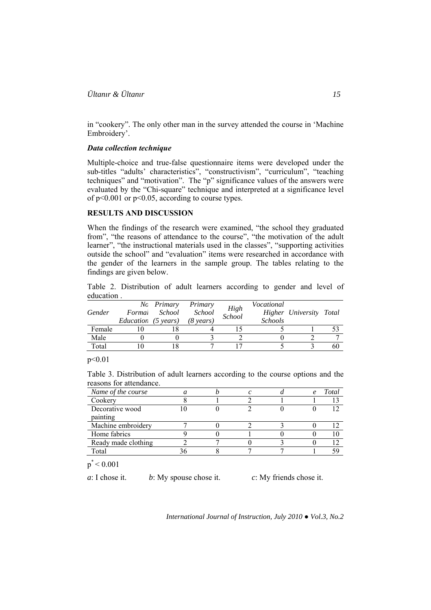in "cookery". The only other man in the survey attended the course in 'Machine Embroidery'.

### *Data collection technique*

Multiple-choice and true-false questionnaire items were developed under the sub-titles "adults' characteristics", "constructivism", "curriculum", "teaching techniques" and "motivation". The "p" significance values of the answers were evaluated by the "Chi-square" technique and interpreted at a significance level of p<0.001 or p<0.05, according to course types.

## **RESULTS AND DISCUSSION**

When the findings of the research were examined, "the school they graduated from", "the reasons of attendance to the course", "the motivation of the adult learner", "the instructional materials used in the classes", "supporting activities outside the school" and "evaluation" items were researched in accordance with the gender of the learners in the sample group. The tables relating to the findings are given below.

Table 2. Distribution of adult learners according to gender and level of education .

| Gender | Formai<br>Education (5 years) | No Primary<br>School | Primary<br><i>School</i><br>$(8 \text{ years})$ | High<br>School | Vocational<br><i>Schools</i> | Higher University Total |    |
|--------|-------------------------------|----------------------|-------------------------------------------------|----------------|------------------------------|-------------------------|----|
| Female |                               |                      |                                                 |                |                              |                         |    |
| Male   |                               |                      |                                                 |                |                              |                         |    |
| Total  |                               |                      |                                                 |                |                              |                         | 60 |

p<0.01

Table 3. Distribution of adult learners according to the course options and the reasons for attendance.

| Name of the course  |  |  | e | Total |
|---------------------|--|--|---|-------|
| Cookery             |  |  |   |       |
| Decorative wood     |  |  |   |       |
| painting            |  |  |   |       |
| Machine embroidery  |  |  |   |       |
| Home fabrics        |  |  |   |       |
| Ready made clothing |  |  |   |       |
| Total               |  |  |   |       |

 $p^*$  < 0.001

*a*: I chose it. *b*: My spouse chose it. *c*: My friends chose it.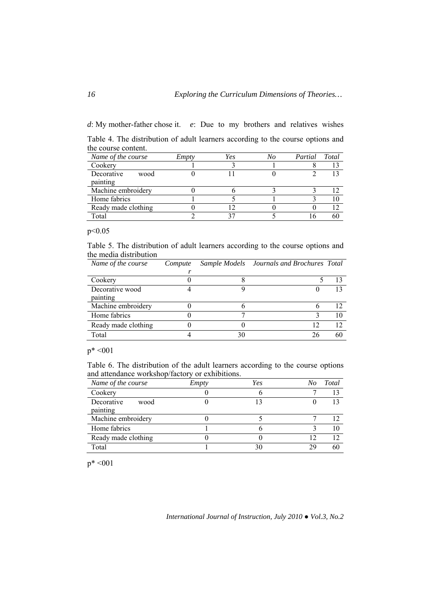*d*: My mother-father chose it. *e*: Due to my brothers and relatives wishes Table 4. The distribution of adult learners according to the course options and

| the course content. |       |     |    |         |       |
|---------------------|-------|-----|----|---------|-------|
| Name of the course  | Empty | Yes | No | Partial | Total |
| Cookery             |       |     |    |         |       |
| Decorative<br>wood  |       |     |    |         | 13    |
| painting            |       |     |    |         |       |
| Machine embroidery  |       |     |    |         |       |
| Home fabrics        |       |     |    |         |       |
| Ready made clothing |       |     |    |         |       |
| Total               |       |     |    |         |       |

p<0.05

Table 5. The distribution of adult learners according to the course options and the media distribution

| Name of the course  | Compute |    | Sample Models Journals and Brochures Total |    |
|---------------------|---------|----|--------------------------------------------|----|
|                     |         |    |                                            |    |
| Cookery             |         |    |                                            | 13 |
| Decorative wood     |         |    |                                            | 13 |
| painting            |         |    |                                            |    |
| Machine embroidery  |         |    |                                            | 12 |
| Home fabrics        |         |    |                                            | 10 |
| Ready made clothing |         |    | 12                                         | 12 |
| Total               |         | 30 | 26                                         | 60 |

 $p^* < 001$ 

Table 6. The distribution of the adult learners according to the course options and attendance workshop/factory or exhibitions.

| Name of the course             | <b>Empty</b> | Yes | No | Total |
|--------------------------------|--------------|-----|----|-------|
| Cookery                        |              |     |    |       |
| Decorative<br>wood<br>painting |              | 13  |    |       |
| Machine embroidery             |              |     |    | 12    |
| Home fabrics                   |              |     |    | 10    |
| Ready made clothing            |              |     |    | 12    |
| Total                          |              | 30  | 29 | 60    |

p\* <001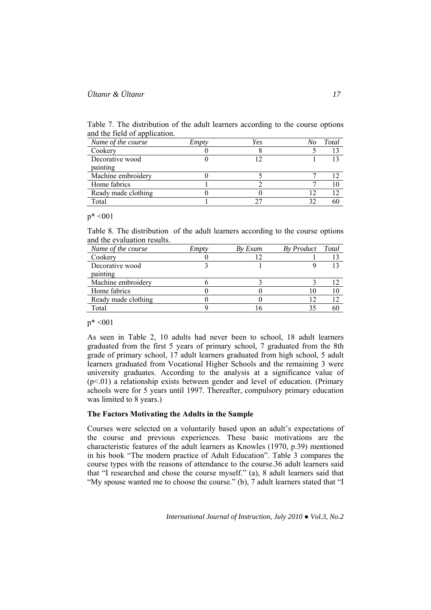Table 7. The distribution of the adult learners according to the course options and the field of application.

| Name of the course  | Empty | Yes | No | Total |
|---------------------|-------|-----|----|-------|
| Cookery             |       |     |    |       |
| Decorative wood     |       |     |    |       |
| painting            |       |     |    |       |
| Machine embroidery  |       |     |    |       |
| Home fabrics        |       |     |    |       |
| Ready made clothing |       |     |    |       |
| Total               |       |     |    |       |

### $p^* < 001$

Table 8. The distribution of the adult learners according to the course options and the evaluation results.

| Name of the course  | Empty | By Exam | By Product Total |  |
|---------------------|-------|---------|------------------|--|
| Cookery             |       |         |                  |  |
| Decorative wood     |       |         |                  |  |
| painting            |       |         |                  |  |
| Machine embroidery  |       |         |                  |  |
| Home fabrics        |       |         |                  |  |
| Ready made clothing |       |         | ∣າ               |  |
| Total               |       |         |                  |  |

## $p^* < 001$

As seen in Table 2, 10 adults had never been to school, 18 adult learners graduated from the first 5 years of primary school, 7 graduated from the 8th grade of primary school, 17 adult learners graduated from high school, 5 adult learners graduated from Vocational Higher Schools and the remaining 3 were university graduates. According to the analysis at a significance value of  $(p<01)$  a relationship exists between gender and level of education. (Primary schools were for 5 years until 1997. Thereafter, compulsory primary education was limited to 8 years.)

#### **The Factors Motivating the Adults in the Sample**

Courses were selected on a voluntarily based upon an adult's expectations of the course and previous experiences. These basic motivations are the characteristic features of the adult learners as Knowles (1970, p.39) mentioned in his book "The modern practice of Adult Education". Table 3 compares the course types with the reasons of attendance to the course.36 adult learners said that "I researched and chose the course myself." (a), 8 adult learners said that "My spouse wanted me to choose the course." (b), 7 adult learners stated that "I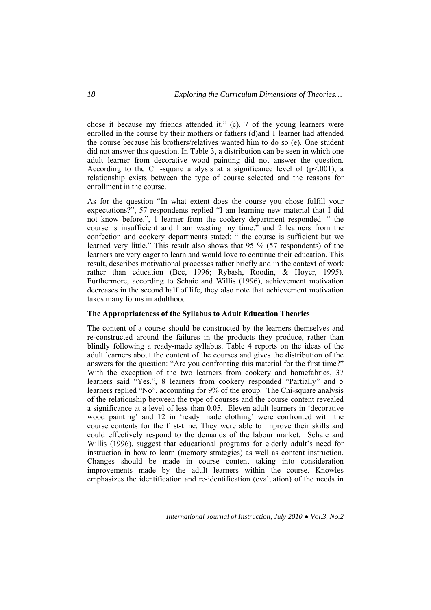chose it because my friends attended it." (c). 7 of the young learners were enrolled in the course by their mothers or fathers (d)and 1 learner had attended the course because his brothers/relatives wanted him to do so (e). One student did not answer this question. In Table 3, a distribution can be seen in which one adult learner from decorative wood painting did not answer the question. According to the Chi-square analysis at a significance level of  $(p<0.001)$ , a relationship exists between the type of course selected and the reasons for enrollment in the course.

As for the question "In what extent does the course you chose fulfill your expectations?", 57 respondents replied "I am learning new material that I did not know before.", 1 learner from the cookery department responded: " the course is insufficient and I am wasting my time." and 2 learners from the confection and cookery departments stated: " the course is sufficient but we learned very little." This result also shows that 95 % (57 respondents) of the learners are very eager to learn and would love to continue their education. This result, describes motivational processes rather briefly and in the context of work rather than education (Bee, 1996; Rybash, Roodin, & Hoyer, 1995). Furthermore, according to Schaie and Willis (1996), achievement motivation decreases in the second half of life, they also note that achievement motivation takes many forms in adulthood.

## **The Appropriateness of the Syllabus to Adult Education Theories**

The content of a course should be constructed by the learners themselves and re-constructed around the failures in the products they produce, rather than blindly following a ready-made syllabus. Table 4 reports on the ideas of the adult learners about the content of the courses and gives the distribution of the answers for the question: "Are you confronting this material for the first time?" With the exception of the two learners from cookery and homefabrics, 37 learners said "Yes.", 8 learners from cookery responded "Partially" and 5 learners replied "No", accounting for 9% of the group. The Chi-square analysis of the relationship between the type of courses and the course content revealed a significance at a level of less than 0.05. Eleven adult learners in 'decorative wood painting' and 12 in 'ready made clothing' were confronted with the course contents for the first-time. They were able to improve their skills and could effectively respond to the demands of the labour market. Schaie and Willis (1996), suggest that educational programs for elderly adult's need for instruction in how to learn (memory strategies) as well as content instruction. Changes should be made in course content taking into consideration improvements made by the adult learners within the course. Knowles emphasizes the identification and re-identification (evaluation) of the needs in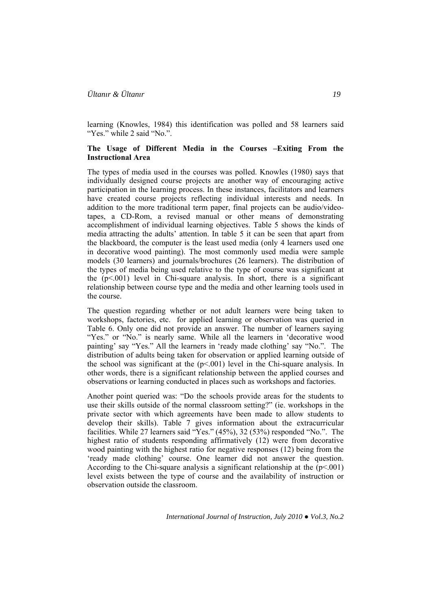learning (Knowles, 1984) this identification was polled and 58 learners said "Yes." while 2 said "No.".

### **The Usage of Different Media in the Courses –Exiting From the Instructional Area**

The types of media used in the courses was polled. Knowles (1980) says that individually designed course projects are another way of encouraging active participation in the learning process. In these instances, facilitators and learners have created course projects reflecting individual interests and needs. In addition to the more traditional term paper, final projects can be audio/videotapes, a CD-Rom, a revised manual or other means of demonstrating accomplishment of individual learning objectives. Table 5 shows the kinds of media attracting the adults' attention. In table 5 it can be seen that apart from the blackboard, the computer is the least used media (only 4 learners used one in decorative wood painting). The most commonly used media were sample models (30 learners) and journals/brochures (26 learners). The distribution of the types of media being used relative to the type of course was significant at the  $(p<.001)$  level in Chi-square analysis. In short, there is a significant relationship between course type and the media and other learning tools used in the course.

The question regarding whether or not adult learners were being taken to workshops, factories, etc. for applied learning or observation was queried in Table 6. Only one did not provide an answer. The number of learners saying "Yes." or "No." is nearly same. While all the learners in 'decorative wood painting' say "Yes." All the learners in 'ready made clothing' say "No.". The distribution of adults being taken for observation or applied learning outside of the school was significant at the  $(p<0.01)$  level in the Chi-square analysis. In other words, there is a significant relationship between the applied courses and observations or learning conducted in places such as workshops and factories.

Another point queried was: "Do the schools provide areas for the students to use their skills outside of the normal classroom setting?" (ie. workshops in the private sector with which agreements have been made to allow students to develop their skills). Table 7 gives information about the extracurricular facilities. While 27 learners said "Yes." (45%), 32 (53%) responded "No.". The highest ratio of students responding affirmatively (12) were from decorative wood painting with the highest ratio for negative responses (12) being from the 'ready made clothing' course. One learner did not answer the question. According to the Chi-square analysis a significant relationship at the  $(p<001)$ level exists between the type of course and the availability of instruction or observation outside the classroom.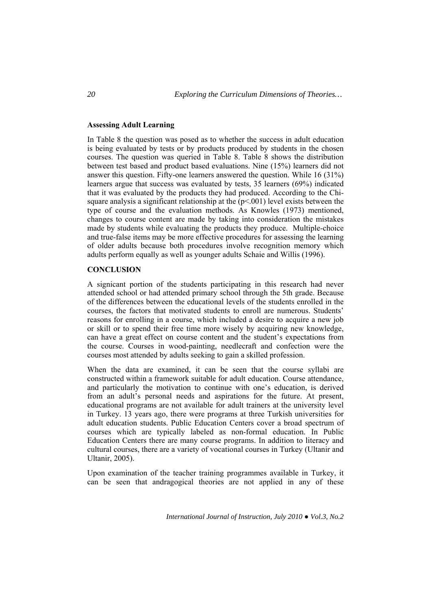### **Assessing Adult Learning**

In Table 8 the question was posed as to whether the success in adult education is being evaluated by tests or by products produced by students in the chosen courses. The question was queried in Table 8. Table 8 shows the distribution between test based and product based evaluations. Nine (15%) learners did not answer this question. Fifty-one learners answered the question. While 16 (31%) learners argue that success was evaluated by tests, 35 learners (69%) indicated that it was evaluated by the products they had produced. According to the Chisquare analysis a significant relationship at the  $(p<.001)$  level exists between the type of course and the evaluation methods. As Knowles (1973) mentioned, changes to course content are made by taking into consideration the mistakes made by students while evaluating the products they produce. Multiple-choice and true-false items may be more effective procedures for assessing the learning of older adults because both procedures involve recognition memory which adults perform equally as well as younger adults Schaie and Willis (1996).

## **CONCLUSION**

A signicant portion of the students participating in this research had never attended school or had attended primary school through the 5th grade. Because of the differences between the educational levels of the students enrolled in the courses, the factors that motivated students to enroll are numerous. Students' reasons for enrolling in a course, which included a desire to acquire a new job or skill or to spend their free time more wisely by acquiring new knowledge, can have a great effect on course content and the student's expectations from the course. Courses in wood-painting, needlecraft and confection were the courses most attended by adults seeking to gain a skilled profession.

When the data are examined, it can be seen that the course syllabi are constructed within a framework suitable for adult education. Course attendance, and particularly the motivation to continue with one's education, is derived from an adult's personal needs and aspirations for the future. At present, educational programs are not available for adult trainers at the university level in Turkey. 13 years ago, there were programs at three Turkish universities for adult education students. Public Education Centers cover a broad spectrum of courses which are typically labeled as non-formal education. In Public Education Centers there are many course programs. In addition to literacy and cultural courses, there are a variety of vocational courses in Turkey (Ultanir and Ultanir, 2005).

Upon examination of the teacher training programmes available in Turkey, it can be seen that andragogical theories are not applied in any of these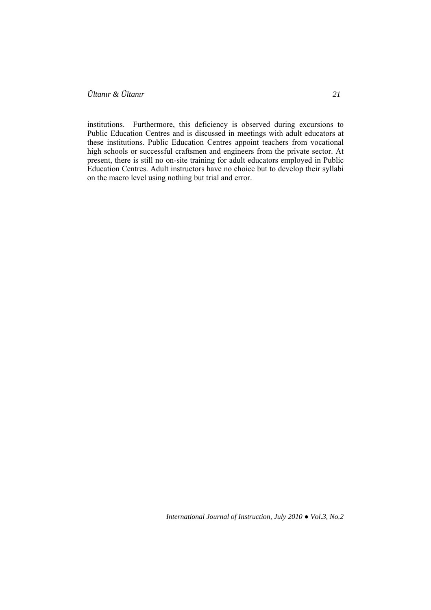institutions. Furthermore, this deficiency is observed during excursions to Public Education Centres and is discussed in meetings with adult educators at these institutions. Public Education Centres appoint teachers from vocational high schools or successful craftsmen and engineers from the private sector. At present, there is still no on-site training for adult educators employed in Public Education Centres. Adult instructors have no choice but to develop their syllabi on the macro level using nothing but trial and error.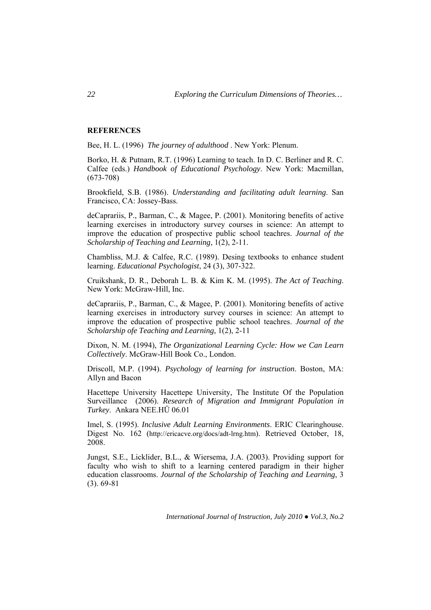### **REFERENCES**

Bee, H. L. (1996) *The journey of adulthood* . New York: Plenum.

Borko, H. & Putnam, R.T. (1996) Learning to teach. In D. C. Berliner and R. C. Calfee (eds.) *Handbook of Educational Psychology*. New York: Macmillan, (673-708)

Brookfield, S.B. (1986). *Understanding and facilitating adult learning*. San Francisco, CA: Jossey-Bass.

deCaprariis, P., Barman, C., & Magee, P. (2001). Monitoring benefits of active learning exercises in introductory survey courses in science: An attempt to improve the education of prospective public school teachres. *Journal of the Scholarship of Teaching and Learning*, 1(2), 2-11.

Chambliss, M.J. & Calfee, R.C. (1989). Desing textbooks to enhance student learning. *Educational Psychologist*, 24 (3), 307-322.

Cruikshank, D. R., Deborah L. B. & Kim K. M. (1995). *The Act of Teaching*. New York: McGraw-Hill, Inc.

deCaprariis, P., Barman, C., & Magee, P. (2001). Monitoring benefits of active learning exercises in introductory survey courses in science: An attempt to improve the education of prospective public school teachres. *Journal of the Scholarship ofe Teaching and Learning*, 1(2), 2-11

Dixon, N. M. (1994), *The Organizational Learning Cycle: How we Can Learn Collectively*. McGraw-Hill Book Co., London.

Driscoll, M.P. (1994). *Psychology of learning for instruction*. Boston, MA: Allyn and Bacon

Hacettepe University Hacettepe University, The Institute Of the Population Surveillance (2006). *Research of Migration and Immigrant Population in Turkey*. Ankara NEE.HÜ 06.01

Imel, S. (1995). *Inclusive Adult Learning Environments*. ERIC Clearinghouse. Digest No. 162 (http://ericacve.org/docs/adt-lrng.htm). Retrieved October, 18, 2008.

Jungst, S.E., Licklider, B.L., & Wiersema, J.A. (2003). Providing support for faculty who wish to shift to a learning centered paradigm in their higher education classrooms. *Journal of the Scholarship of Teaching and Learning*, 3 (3). 69-81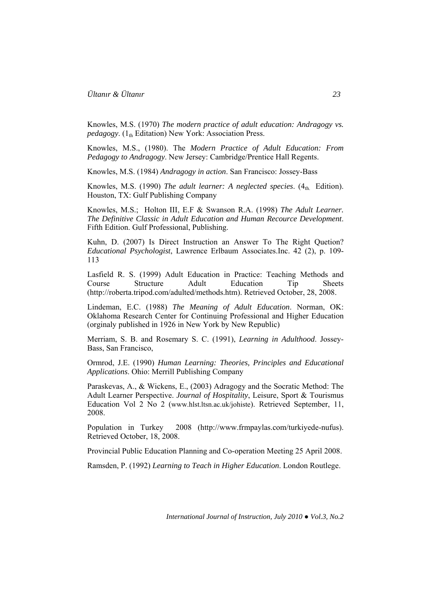Knowles, M.S. (1970) *The modern practice of adult education: Andragogy vs. pedagogy*. (1<sub>th</sub> Editation) New York: Association Press.

Knowles, M.S., (1980). The *Modern Practice of Adult Education: From Pedagogy to Andragogy*. New Jersey: Cambridge/Prentice Hall Regents.

Knowles, M.S. (1984) *Andragogy in action*. San Francisco: Jossey-Bass

Knowles, M.S. (1990) *The adult learner: A neglected species*. (4th. Edition). Houston, TX: Gulf Publishing Company

Knowles, M.S.; Holton III, E.F & Swanson R.A. (1998) *The Adult Learner. The Definitive Classic in Adult Education and Human Recource Development*. Fifth Edition. Gulf Professional, Publishing.

Kuhn, D. (2007) Is Direct Instruction an Answer To The Right Quetion? *Educational Psychologist*, Lawrence Erlbaum Associates.Inc. 42 (2), p. 109- 113

Lasfield R. S. (1999) Adult Education in Practice: Teaching Methods and Course Structure Adult Education Tip Sheets (http://roberta.tripod.com/adulted/methods.htm). Retrieved October, 28, 2008.

Lindeman, E.C. (1988) *The Meaning of Adult Education*. Norman, OK: Oklahoma Research Center for Continuing Professional and Higher Education (orginaly published in 1926 in New York by New Republic)

Merriam, S. B. and Rosemary S. C. (1991), *Learning in Adulthood*. Jossey-Bass, San Francisco,

Ormrod, J.E. (1990) *Human Learning: Theories, Principles and Educational Applications*. Ohio: Merrill Publishing Company

Paraskevas, A., & Wickens, E., (2003) Adragogy and the Socratic Method: The Adult Learner Perspective. *Journal of Hospitality*, Leisure, Sport & Tourismus Education Vol 2 No 2 (www.hlst.ltsn.ac.uk/johiste). Retrieved September, 11, 2008.

Population in Turkey 2008 (http://www.frmpaylas.com/turkiyede-nufus). Retrieved October, 18, 2008.

Provincial Public Education Planning and Co-operation Meeting 25 April 2008.

Ramsden, P. (1992) *Learning to Teach in Higher Education*. London Routlege.